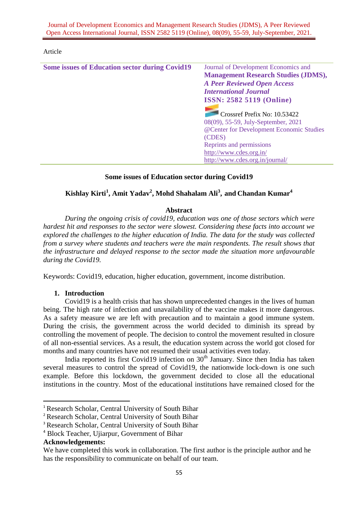Journal of Development Economics and Management Research Studies (JDMS), A Peer Reviewed Open Access International Journal, ISSN 2582 5119 (Online), 08(09), 55-59, July-September, 2021.

#### Article

| <b>Some issues of Education sector during Covid19</b> | Journal of Development Economics and       |
|-------------------------------------------------------|--------------------------------------------|
|                                                       | <b>Management Research Studies (JDMS),</b> |
|                                                       | <b>A Peer Reviewed Open Access</b>         |
|                                                       | <b>International Journal</b>               |
|                                                       | <b>ISSN: 2582 5119 (Online)</b>            |
|                                                       |                                            |
|                                                       | Crossref Prefix No: 10.53422               |
|                                                       | 08(09), 55-59, July-September, 2021        |
|                                                       | @Center for Development Economic Studies   |
|                                                       | (CDES)                                     |
|                                                       | Reprints and permissions                   |
|                                                       | http://www.cdes.org.in/                    |
|                                                       | http://www.cdes.org.in/journal/            |
|                                                       |                                            |

### **Some issues of Education sector during Covid19**

# **Kishlay Kirti<sup>1</sup> , Amit Yadav<sup>2</sup> , Mohd Shahalam Ali<sup>3</sup> , and Chandan Kumar<sup>4</sup>**

### **Abstract**

*During the ongoing crisis of covid19, education was one of those sectors which were hardest hit and responses to the sector were slowest. Considering these facts into account we explored the challenges to the higher education of India. The data for the study was collected from a survey where students and teachers were the main respondents. The result shows that the infrastructure and delayed response to the sector made the situation more unfavourable during the Covid19.*

Keywords: Covid19, education, higher education, government, income distribution.

### **1. Introduction**

Covid19 is a health crisis that has shown unprecedented changes in the lives of human being. The high rate of infection and unavailability of the vaccine makes it more dangerous. As a safety measure we are left with precaution and to maintain a good immune system. During the crisis, the government across the world decided to diminish its spread by controlling the movement of people. The decision to control the movement resulted in closure of all non-essential services. As a result, the education system across the world got closed for months and many countries have not resumed their usual activities even today.

India reported its first Covid19 infection on  $30<sup>th</sup>$  January. Since then India has taken several measures to control the spread of Covid19, the nationwide lock-down is one such example. Before this lockdown, the government decided to close all the educational institutions in the country. Most of the educational institutions have remained closed for the

**.** 

<sup>&</sup>lt;sup>1</sup> Research Scholar, Central University of South Bihar

<sup>2</sup> Research Scholar, Central University of South Bihar

<sup>&</sup>lt;sup>3</sup> Research Scholar, Central University of South Bihar

<sup>4</sup> Block Teacher, Ujiarpur, Government of Bihar

**Acknowledgements:**

We have completed this work in collaboration. The first author is the principle author and he has the responsibility to communicate on behalf of our team.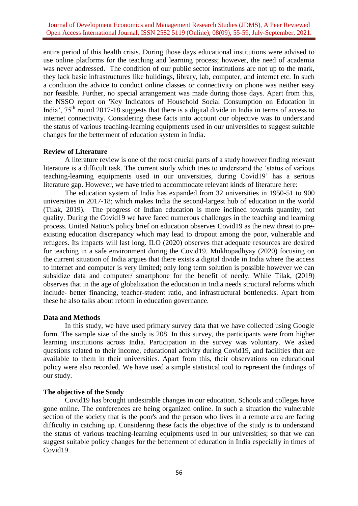entire period of this health crisis. During those days educational institutions were advised to use online platforms for the teaching and learning process; however, the need of academia was never addressed. The condition of our public sector institutions are not up to the mark, they lack basic infrastructures like buildings, library, lab, computer, and internet etc. In such a condition the advice to conduct online classes or connectivity on phone was neither easy nor feasible. Further, no special arrangement was made during those days. Apart from this, the NSSO report on 'Key Indicators of Household Social Consumption on Education in India',  $75<sup>th</sup>$  round 2017-18 suggests that there is a digital divide in India in terms of access to internet connectivity. Considering these facts into account our objective was to understand the status of various teaching-learning equipments used in our universities to suggest suitable changes for the betterment of education system in India.

### **Review of Literature**

A literature review is one of the most crucial parts of a study however finding relevant literature is a difficult task. The current study which tries to understand the 'status of various teaching-learning equipments used in our universities, during Covid19' has a serious literature gap. However, we have tried to accommodate relevant kinds of literature here:

The education system of India has expanded from 32 universities in 1950-51 to 900 universities in 2017-18; which makes India the second-largest hub of education in the world (Tilak, 2019). The progress of Indian education is more inclined towards quantity, not quality. During the Covid19 we have faced numerous challenges in the teaching and learning process. United Nation's policy brief on education observes Covid19 as the new threat to preexisting education discrepancy which may lead to dropout among the poor, vulnerable and refugees. Its impacts will last long. ILO (2020) observes that adequate resources are desired for teaching in a safe environment during the Covid19. Mukhopadhyay (2020) focusing on the current situation of India argues that there exists a digital divide in India where the access to internet and computer is very limited; only long term solution is possible however we can subsidize data and computer/ smartphone for the benefit of needy. While Tilak, (2019) observes that in the age of globalization the education in India needs structural reforms which include- better financing, teacher-student ratio, and infrastructural bottlenecks. Apart from these he also talks about reform in education governance.

### **Data and Methods**

In this study, we have used primary survey data that we have collected using Google form. The sample size of the study is 208. In this survey, the participants were from higher learning institutions across India. Participation in the survey was voluntary. We asked questions related to their income, educational activity during Covid19, and facilities that are available to them in their universities. Apart from this, their observations on educational policy were also recorded. We have used a simple statistical tool to represent the findings of our study.

## **The objective of the Study**

Covid19 has brought undesirable changes in our education. Schools and colleges have gone online. The conferences are being organized online. In such a situation the vulnerable section of the society that is the poor's and the person who lives in a remote area are facing difficulty in catching up. Considering these facts the objective of the study is to understand the status of various teaching-learning equipments used in our universities; so that we can suggest suitable policy changes for the betterment of education in India especially in times of Covid19.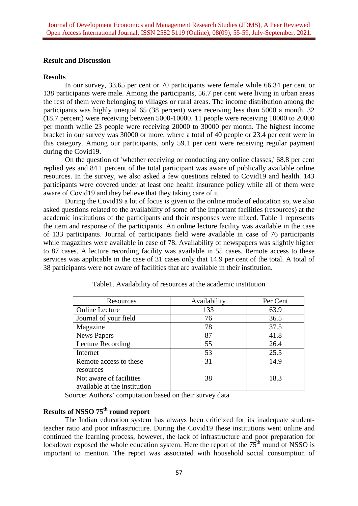### **Result and Discussion**

### **Results**

In our survey, 33.65 per cent or 70 participants were female while 66.34 per cent or 138 participants were male. Among the participants, 56.7 per cent were living in urban areas the rest of them were belonging to villages or rural areas. The income distribution among the participants was highly unequal 65 (38 percent) were receiving less than 5000 a month. 32 (18.7 percent) were receiving between 5000-10000. 11 people were receiving 10000 to 20000 per month while 23 people were receiving 20000 to 30000 per month. The highest income bracket in our survey was 30000 or more, where a total of 40 people or 23.4 per cent were in this category. Among our participants, only 59.1 per cent were receiving regular payment during the Covid19.

On the question of 'whether receiving or conducting any online classes,' 68.8 per cent replied yes and 84.1 percent of the total participant was aware of publically available online resources. In the survey, we also asked a few questions related to Covid19 and health. 143 participants were covered under at least one health insurance policy while all of them were aware of Covid19 and they believe that they taking care of it.

During the Covid19 a lot of focus is given to the online mode of education so, we also asked questions related to the availability of some of the important facilities (resources) at the academic institutions of the participants and their responses were mixed. Table 1 represents the item and response of the participants. An online lecture facility was available in the case of 133 participants. Journal of participants field were available in case of 76 participants while magazines were available in case of 78. Availability of newspapers was slightly higher to 87 cases. A lecture recording facility was available in 55 cases. Remote access to these services was applicable in the case of 31 cases only that 14.9 per cent of the total. A total of 38 participants were not aware of facilities that are available in their institution.

| Resources                    | Availability | Per Cent |
|------------------------------|--------------|----------|
| <b>Online Lecture</b>        | 133          | 63.9     |
| Journal of your field        | 76           | 36.5     |
| Magazine                     | 78           | 37.5     |
| <b>News Papers</b>           | 87           | 41.8     |
| Lecture Recording            | 55           | 26.4     |
| Internet                     | 53           | 25.5     |
| Remote access to these       | 31           | 14.9     |
| resources                    |              |          |
| Not aware of facilities      | 38           | 18.3     |
| available at the institution |              |          |

Table1. Availability of resources at the academic institution

Source: Authors' computation based on their survey data

# **Results of NSSO 75th round report**

The Indian education system has always been criticized for its inadequate studentteacher ratio and poor infrastructure. During the Covid19 these institutions went online and continued the learning process, however, the lack of infrastructure and poor preparation for lockdown exposed the whole education system. Here the report of the  $75<sup>th</sup>$  round of NSSO is important to mention. The report was associated with household social consumption of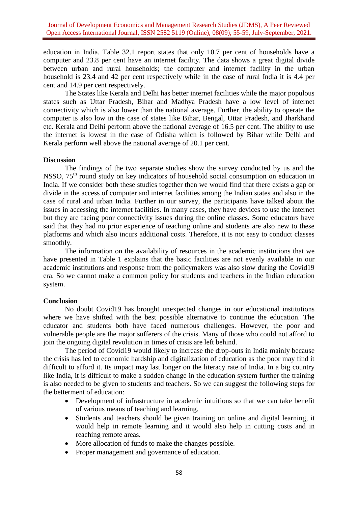education in India. Table 32.1 report states that only 10.7 per cent of households have a computer and 23.8 per cent have an internet facility. The data shows a great digital divide between urban and rural households; the computer and internet facility in the urban household is 23.4 and 42 per cent respectively while in the case of rural India it is 4.4 per cent and 14.9 per cent respectively.

The States like Kerala and Delhi has better internet facilities while the major populous states such as Uttar Pradesh, Bihar and Madhya Pradesh have a low level of internet connectivity which is also lower than the national average. Further, the ability to operate the computer is also low in the case of states like Bihar, Bengal, Uttar Pradesh, and Jharkhand etc. Kerala and Delhi perform above the national average of 16.5 per cent. The ability to use the internet is lowest in the case of Odisha which is followed by Bihar while Delhi and Kerala perform well above the national average of 20.1 per cent.

### **Discussion**

The findings of the two separate studies show the survey conducted by us and the NSSO, 75<sup>th</sup> round study on key indicators of household social consumption on education in India. If we consider both these studies together then we would find that there exists a gap or divide in the access of computer and internet facilities among the Indian states and also in the case of rural and urban India. Further in our survey, the participants have talked about the issues in accessing the internet facilities. In many cases, they have devices to use the internet but they are facing poor connectivity issues during the online classes. Some educators have said that they had no prior experience of teaching online and students are also new to these platforms and which also incurs additional costs. Therefore, it is not easy to conduct classes smoothly.

The information on the availability of resources in the academic institutions that we have presented in Table 1 explains that the basic facilities are not evenly available in our academic institutions and response from the policymakers was also slow during the Covid19 era. So we cannot make a common policy for students and teachers in the Indian education system.

### **Conclusion**

No doubt Covid19 has brought unexpected changes in our educational institutions where we have shifted with the best possible alternative to continue the education. The educator and students both have faced numerous challenges. However, the poor and vulnerable people are the major sufferers of the crisis. Many of those who could not afford to join the ongoing digital revolution in times of crisis are left behind.

The period of Covid19 would likely to increase the drop-outs in India mainly because the crisis has led to economic hardship and digitalization of education as the poor may find it difficult to afford it. Its impact may last longer on the literacy rate of India. In a big country like India, it is difficult to make a sudden change in the education system further the training is also needed to be given to students and teachers. So we can suggest the following steps for the betterment of education:

- Development of infrastructure in academic intuitions so that we can take benefit of various means of teaching and learning.
- Students and teachers should be given training on online and digital learning, it would help in remote learning and it would also help in cutting costs and in reaching remote areas.
- More allocation of funds to make the changes possible.
- Proper management and governance of education.